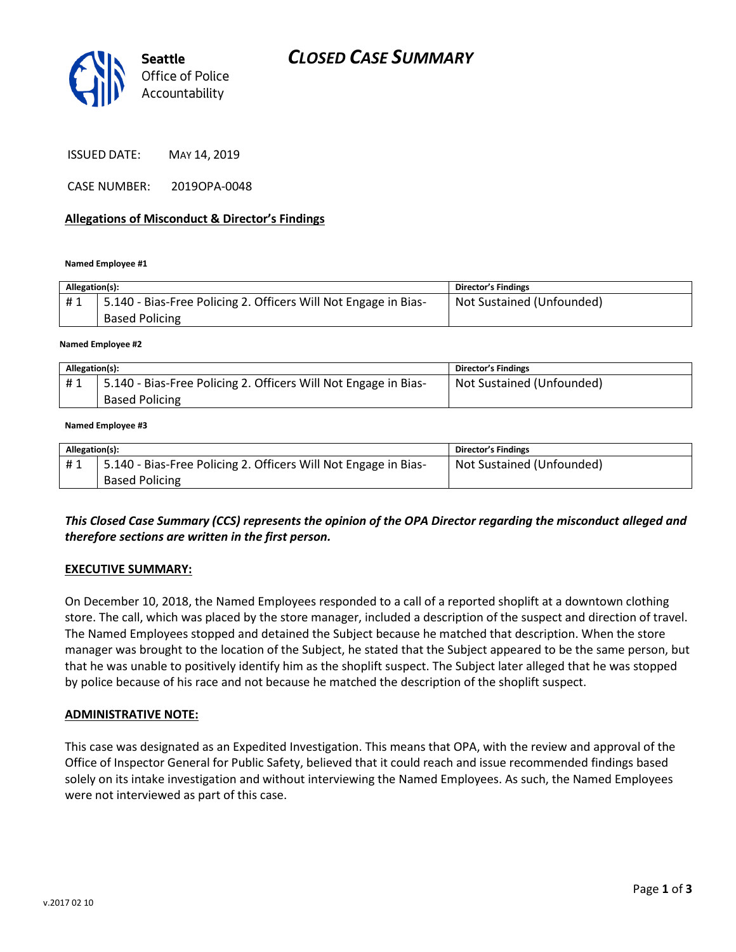

ISSUED DATE: MAY 14, 2019

CASE NUMBER: 2019OPA-0048

#### **Allegations of Misconduct & Director's Findings**

**Named Employee #1**

| Allegation(s): |                                                                                          | <b>Director's Findings</b> |
|----------------|------------------------------------------------------------------------------------------|----------------------------|
| #1             | 5.140 - Bias-Free Policing 2. Officers Will Not Engage in Bias-<br><b>Based Policing</b> | Not Sustained (Unfounded)  |
|                |                                                                                          |                            |

**Named Employee #2**

| Allegation(s): |                                                                 | <b>Director's Findings</b> |
|----------------|-----------------------------------------------------------------|----------------------------|
| #1             | 5.140 - Bias-Free Policing 2. Officers Will Not Engage in Bias- | Not Sustained (Unfounded)  |
|                | <b>Based Policing</b>                                           |                            |

#### **Named Employee #3**

| Allegation(s): |                                                                 | Director's Findings       |
|----------------|-----------------------------------------------------------------|---------------------------|
| #1             | 5.140 - Bias-Free Policing 2. Officers Will Not Engage in Bias- | Not Sustained (Unfounded) |
|                | <b>Based Policing</b>                                           |                           |

*This Closed Case Summary (CCS) represents the opinion of the OPA Director regarding the misconduct alleged and therefore sections are written in the first person.* 

#### **EXECUTIVE SUMMARY:**

On December 10, 2018, the Named Employees responded to a call of a reported shoplift at a downtown clothing store. The call, which was placed by the store manager, included a description of the suspect and direction of travel. The Named Employees stopped and detained the Subject because he matched that description. When the store manager was brought to the location of the Subject, he stated that the Subject appeared to be the same person, but that he was unable to positively identify him as the shoplift suspect. The Subject later alleged that he was stopped by police because of his race and not because he matched the description of the shoplift suspect.

#### **ADMINISTRATIVE NOTE:**

This case was designated as an Expedited Investigation. This means that OPA, with the review and approval of the Office of Inspector General for Public Safety, believed that it could reach and issue recommended findings based solely on its intake investigation and without interviewing the Named Employees. As such, the Named Employees were not interviewed as part of this case.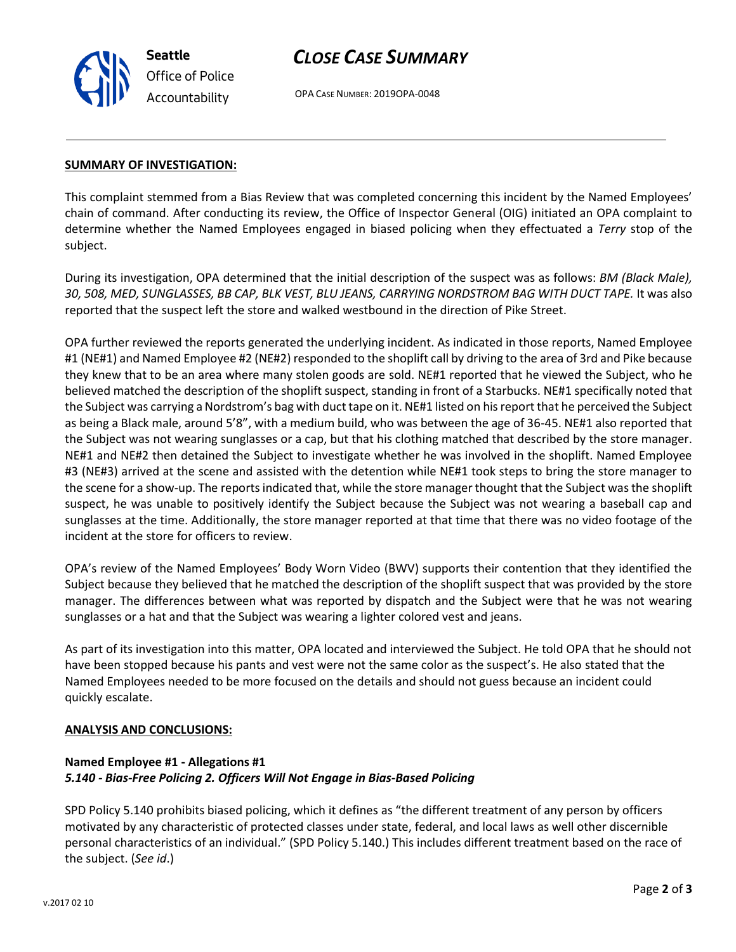## *CLOSE CASE SUMMARY*

OPA CASE NUMBER: 2019OPA-0048

#### **SUMMARY OF INVESTIGATION:**

This complaint stemmed from a Bias Review that was completed concerning this incident by the Named Employees' chain of command. After conducting its review, the Office of Inspector General (OIG) initiated an OPA complaint to determine whether the Named Employees engaged in biased policing when they effectuated a *Terry* stop of the subject.

During its investigation, OPA determined that the initial description of the suspect was as follows: *BM (Black Male), 30, 508, MED, SUNGLASSES, BB CAP, BLK VEST, BLU JEANS, CARRYING NORDSTROM BAG WITH DUCT TAPE.* It was also reported that the suspect left the store and walked westbound in the direction of Pike Street.

OPA further reviewed the reports generated the underlying incident. As indicated in those reports, Named Employee #1 (NE#1) and Named Employee #2 (NE#2) responded to the shoplift call by driving to the area of 3rd and Pike because they knew that to be an area where many stolen goods are sold. NE#1 reported that he viewed the Subject, who he believed matched the description of the shoplift suspect, standing in front of a Starbucks. NE#1 specifically noted that the Subject was carrying a Nordstrom's bag with duct tape on it. NE#1 listed on his report that he perceived the Subject as being a Black male, around 5'8", with a medium build, who was between the age of 36-45. NE#1 also reported that the Subject was not wearing sunglasses or a cap, but that his clothing matched that described by the store manager. NE#1 and NE#2 then detained the Subject to investigate whether he was involved in the shoplift. Named Employee #3 (NE#3) arrived at the scene and assisted with the detention while NE#1 took steps to bring the store manager to the scene for a show-up. The reports indicated that, while the store manager thought that the Subject was the shoplift suspect, he was unable to positively identify the Subject because the Subject was not wearing a baseball cap and sunglasses at the time. Additionally, the store manager reported at that time that there was no video footage of the incident at the store for officers to review.

OPA's review of the Named Employees' Body Worn Video (BWV) supports their contention that they identified the Subject because they believed that he matched the description of the shoplift suspect that was provided by the store manager. The differences between what was reported by dispatch and the Subject were that he was not wearing sunglasses or a hat and that the Subject was wearing a lighter colored vest and jeans.

As part of its investigation into this matter, OPA located and interviewed the Subject. He told OPA that he should not have been stopped because his pants and vest were not the same color as the suspect's. He also stated that the Named Employees needed to be more focused on the details and should not guess because an incident could quickly escalate.

#### **ANALYSIS AND CONCLUSIONS:**

### **Named Employee #1 - Allegations #1** *5.140 - Bias-Free Policing 2. Officers Will Not Engage in Bias-Based Policing*

SPD Policy 5.140 prohibits biased policing, which it defines as "the different treatment of any person by officers motivated by any characteristic of protected classes under state, federal, and local laws as well other discernible personal characteristics of an individual." (SPD Policy 5.140.) This includes different treatment based on the race of the subject. (*See id*.)



**Seattle** *Office of Police Accountability*